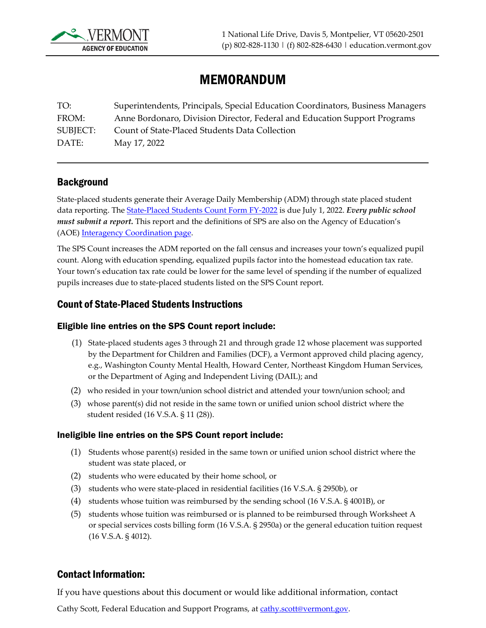

# MEMORANDUM

TO: Superintendents, Principals, Special Education Coordinators, Business Managers FROM: Anne Bordonaro, Division Director, Federal and Education Support Programs SUBJECT: Count of State-Placed Students Data Collection DATE: May 17, 2022

#### **Background**

State-placed students generate their Average Daily Membership (ADM) through state placed student data reporting. The [State-Placed Students Count Form FY-2022](https://education.vermont.gov/documents/interagency-coordination-count-state-placed-students-form) is due July 1, 2022. *Every public school must submit a report.* This report and the definitions of SPS are also on the Agency of Education's (AOE) [Interagency Coordination page.](http://education.vermont.gov/vermont-schools/school-operations/interagency-coordination) 

The SPS Count increases the ADM reported on the fall census and increases your town's equalized pupil count. Along with education spending, equalized pupils factor into the homestead education tax rate. Your town's education tax rate could be lower for the same level of spending if the number of equalized pupils increases due to state-placed students listed on the SPS Count report.

#### Count of State-Placed Students Instructions

#### Eligible line entries on the SPS Count report include:

- (1) State-placed students ages 3 through 21 and through grade 12 whose placement was supported by the Department for Children and Families (DCF), a Vermont approved child placing agency, e.g., Washington County Mental Health, Howard Center, Northeast Kingdom Human Services, or the Department of Aging and Independent Living (DAIL); and
- (2) who resided in your town/union school district and attended your town/union school; and
- (3) whose parent(s) did not reside in the same town or unified union school district where the student resided (16 V.S.A. § 11 (28)).

#### Ineligible line entries on the SPS Count report include:

- (1) Students whose parent(s) resided in the same town or unified union school district where the student was state placed, or
- (2) students who were educated by their home school, or
- (3) students who were state-placed in residential facilities (16 V.S.A. § 2950b), or
- (4) students whose tuition was reimbursed by the sending school (16 V.S.A. § 4001B), or
- (5) students whose tuition was reimbursed or is planned to be reimbursed through Worksheet A or special services costs billing form (16 V.S.A. § 2950a) or the general education tuition request (16 V.S.A. § 4012).

### Contact Information:

If you have questions about this document or would like additional information, contact

Cathy Scott, Federal Education and Support Programs, at [cathy.scott@vermont.gov.](mailto:cathy.scott@vermont.gov)